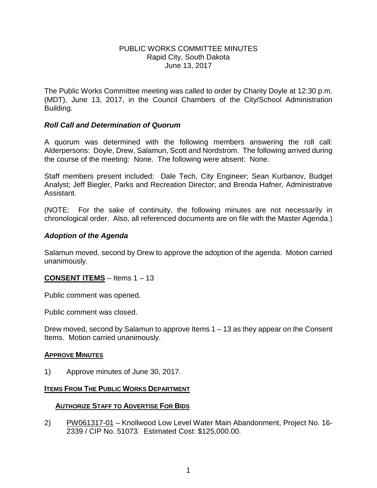#### PUBLIC WORKS COMMITTEE MINUTES Rapid City, South Dakota June 13, 2017

The Public Works Committee meeting was called to order by Charity Doyle at 12:30 p.m. (MDT), June 13, 2017, in the Council Chambers of the City/School Administration Building.

## *Roll Call and Determination of Quorum*

A quorum was determined with the following members answering the roll call: Alderpersons: Doyle, Drew, Salamun, Scott and Nordstrom. The following arrived during the course of the meeting: None. The following were absent: None.

Staff members present included: Dale Tech, City Engineer; Sean Kurbanov, Budget Analyst; Jeff Biegler, Parks and Recreation Director; and Brenda Hafner, Administrative Assistant.

(NOTE: For the sake of continuity, the following minutes are not necessarily in chronological order. Also, all referenced documents are on file with the Master Agenda.)

## *Adoption of the Agenda*

Salamun moved, second by Drew to approve the adoption of the agenda. Motion carried unanimously.

## **CONSENT ITEMS** – Items 1 – 13

Public comment was opened.

Public comment was closed.

Drew moved, second by Salamun to approve Items 1 – 13 as they appear on the Consent Items. Motion carried unanimously.

#### **APPROVE MINUTES**

1) Approve minutes of June 30, 2017.

#### **ITEMS FROM THE PUBLIC WORKS DEPARTMENT**

#### **AUTHORIZE STAFF TO ADVERTISE FOR BIDS**

2) PW061317-01 – Knollwood Low Level Water Main Abandonment, Project No. 16- 2339 / CIP No. 51073. Estimated Cost: \$125,000.00.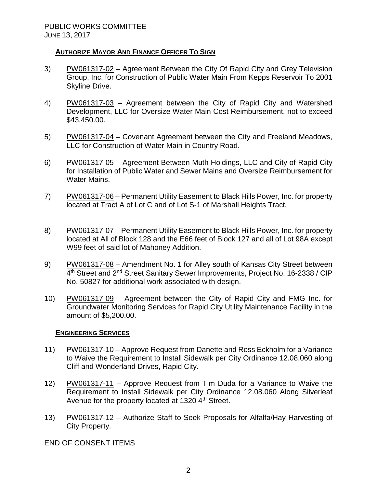## **AUTHORIZE MAYOR AND FINANCE OFFICER TO SIGN**

- 3) PW061317-02 Agreement Between the City Of Rapid City and Grey Television Group, Inc. for Construction of Public Water Main From Kepps Reservoir To 2001 Skyline Drive.
- 4) PW061317-03 Agreement between the City of Rapid City and Watershed Development, LLC for Oversize Water Main Cost Reimbursement, not to exceed \$43,450.00.
- 5) PW061317-04 Covenant Agreement between the City and Freeland Meadows, LLC for Construction of Water Main in Country Road.
- 6) PW061317-05 Agreement Between Muth Holdings, LLC and City of Rapid City for Installation of Public Water and Sewer Mains and Oversize Reimbursement for Water Mains.
- 7) PW061317-06 Permanent Utility Easement to Black Hills Power, Inc. for property located at Tract A of Lot C and of Lot S-1 of Marshall Heights Tract.
- 8) PW061317-07 Permanent Utility Easement to Black Hills Power, Inc. for property located at All of Block 128 and the E66 feet of Block 127 and all of Lot 98A except W99 feet of said lot of Mahoney Addition.
- 9) PW061317-08 Amendment No. 1 for Alley south of Kansas City Street between 4<sup>th</sup> Street and 2<sup>nd</sup> Street Sanitary Sewer Improvements, Project No. 16-2338 / CIP No. 50827 for additional work associated with design.
- 10) PW061317-09 Agreement between the City of Rapid City and FMG Inc. for Groundwater Monitoring Services for Rapid City Utility Maintenance Facility in the amount of \$5,200.00.

## **ENGINEERING SERVICES**

- 11) PW061317-10 Approve Request from Danette and Ross Eckholm for a Variance to Waive the Requirement to Install Sidewalk per City Ordinance 12.08.060 along Cliff and Wonderland Drives, Rapid City.
- 12) PW061317-11 Approve Request from Tim Duda for a Variance to Waive the Requirement to Install Sidewalk per City Ordinance 12.08.060 Along Silverleaf Avenue for the property located at 1320 4<sup>th</sup> Street.
- 13) PW061317-12 Authorize Staff to Seek Proposals for Alfalfa/Hay Harvesting of City Property.

END OF CONSENT ITEMS